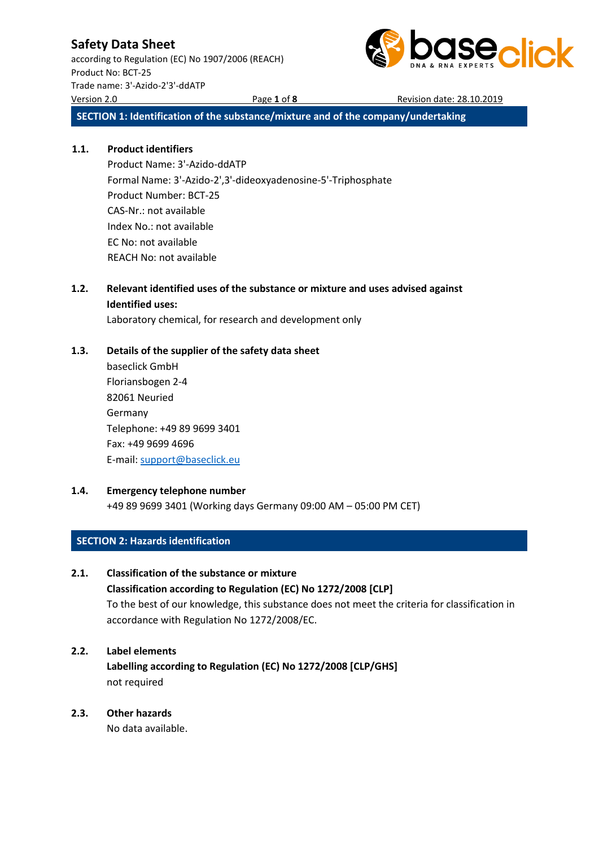according to Regulation (EC) No 1907/2006 (REACH) Product No: BCT-25 Trade name: 3'-Azido-2'3'-ddATP Version 2.0 Page **1** of **8** Revision date: 28.10.2019



**SECTION 1: Identification of the substance/mixture and of the company/undertaking**

### **1.1. Product identifiers**

Product Name: 3'-Azido-ddATP Formal Name: 3'-Azido-2',3'-dideoxyadenosine-5'-Triphosphate Product Number: BCT-25 CAS-Nr.: not available Index No.: not available EC No: not available REACH No: not available

### **1.2. Relevant identified uses of the substance or mixture and uses advised against Identified uses:**

Laboratory chemical, for research and development only

### **1.3. Details of the supplier of the safety data sheet**

baseclick GmbH Floriansbogen 2-4 82061 Neuried Germany Telephone: +49 89 9699 3401 Fax: +49 9699 4696 E-mail[: support@baseclick.eu](mailto:support@baseclick.eu)

#### **1.4. Emergency telephone number**

+49 89 9699 3401 (Working days Germany 09:00 AM – 05:00 PM CET)

### **SECTION 2: Hazards identification**

#### **2.1. Classification of the substance or mixture**

**Classification according to Regulation (EC) No 1272/2008 [CLP]** To the best of our knowledge, this substance does not meet the criteria for classification in accordance with Regulation No 1272/2008/EC.

### **2.2. Label elements**

**Labelling according to Regulation (EC) No 1272/2008 [CLP/GHS]** not required

### **2.3. Other hazards**

No data available.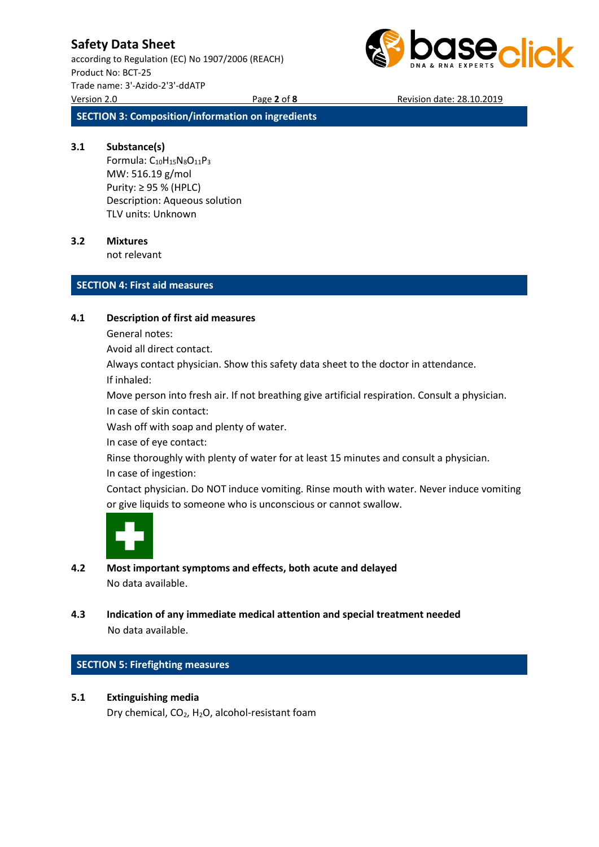according to Regulation (EC) No 1907/2006 (REACH) Product No: BCT-25 Trade name: 3'-Azido-2'3'-ddATP Version 2.0 Page **2** of **8** Revision date: 28.10.2019



**SECTION 3: Composition/information on ingredients**

#### **3.1 Substance(s)**

Formula:  $C_{10}H_{15}N_8O_{11}P_3$ MW: 516.19 g/mol Purity: ≥ 95 % (HPLC) Description: Aqueous solution TLV units: Unknown

### **3.2 Mixtures**

not relevant

### **SECTION 4: First aid measures**

#### **4.1 Description of first aid measures**

General notes:

Avoid all direct contact.

Always contact physician. Show this safety data sheet to the doctor in attendance.

If inhaled:

Move person into fresh air. If not breathing give artificial respiration. Consult a physician. In case of skin contact:

Wash off with soap and plenty of water.

In case of eye contact:

Rinse thoroughly with plenty of water for at least 15 minutes and consult a physician. In case of ingestion:

Contact physician. Do NOT induce vomiting. Rinse mouth with water. Never induce vomiting or give liquids to someone who is unconscious or cannot swallow.



- **4.2 Most important symptoms and effects, both acute and delayed** No data available.
- **4.3 Indication of any immediate medical attention and special treatment needed** No data available.

#### **SECTION 5: Firefighting measures**

**5.1 Extinguishing media**

Dry chemical, CO2, H2O, alcohol-resistant foam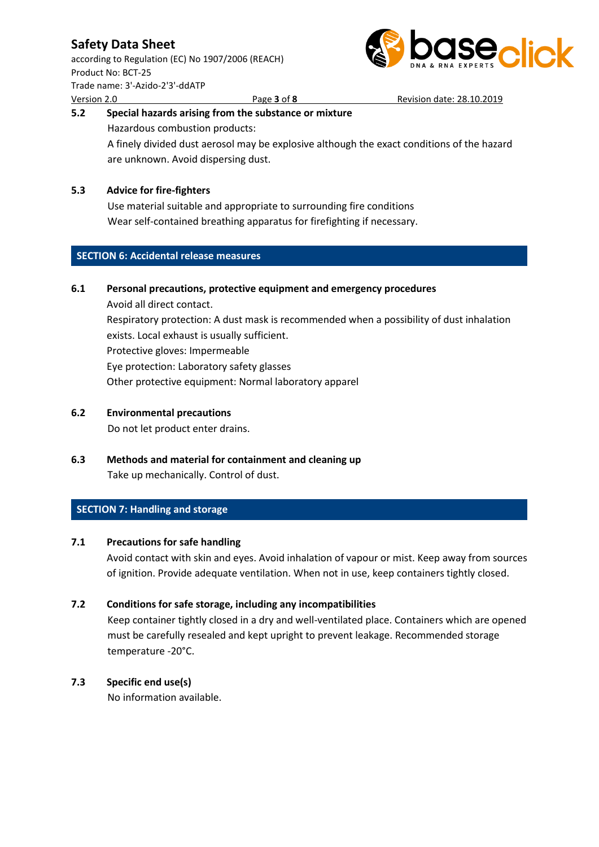according to Regulation (EC) No 1907/2006 (REACH) Product No: BCT-25 Trade name: 3'-Azido-2'3'-ddATP

are unknown. Avoid dispersing dust.



## Version 2.0 Page **3** of **8** Revision date: 28.10.2019 **5.2 Special hazards arising from the substance or mixture** Hazardous combustion products: A finely divided dust aerosol may be explosive although the exact conditions of the hazard

### **5.3 Advice for fire-fighters**

Use material suitable and appropriate to surrounding fire conditions Wear self-contained breathing apparatus for firefighting if necessary.

### **SECTION 6: Accidental release measures**

### **6.1 Personal precautions, protective equipment and emergency procedures**

Avoid all direct contact. Respiratory protection: A dust mask is recommended when a possibility of dust inhalation exists. Local exhaust is usually sufficient. Protective gloves: Impermeable Eye protection: Laboratory safety glasses Other protective equipment: Normal laboratory apparel

### **6.2 Environmental precautions**

Do not let product enter drains.

**6.3 Methods and material for containment and cleaning up** Take up mechanically. Control of dust.

### **SECTION 7: Handling and storage**

### **7.1 Precautions for safe handling**

Avoid contact with skin and eyes. Avoid inhalation of vapour or mist. Keep away from sources of ignition. Provide adequate ventilation. When not in use, keep containers tightly closed.

### **7.2 Conditions for safe storage, including any incompatibilities**

Keep container tightly closed in a dry and well-ventilated place. Containers which are opened must be carefully resealed and kept upright to prevent leakage. Recommended storage temperature -20°C.

### **7.3 Specific end use(s)**

No information available.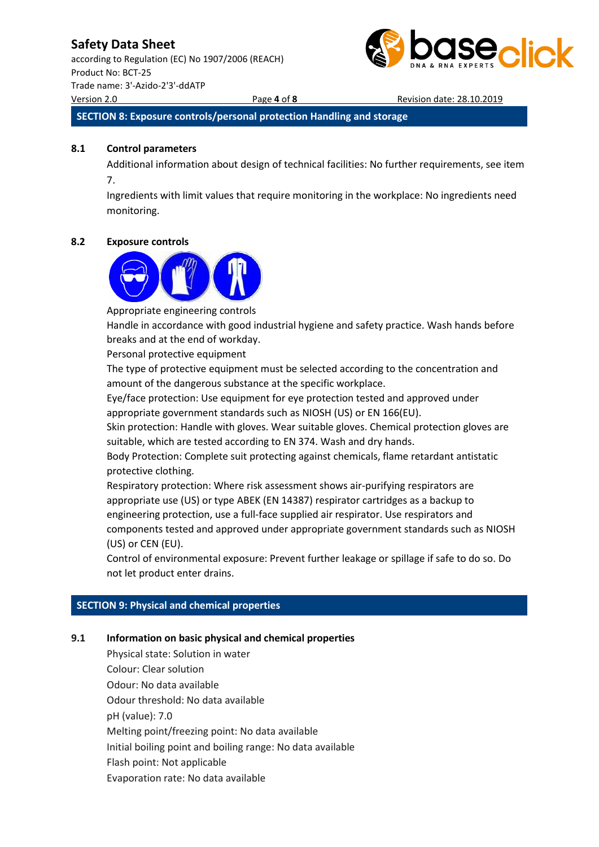according to Regulation (EC) No 1907/2006 (REACH) Product No: BCT-25 Trade name: 3'-Azido-2'3'-ddATP Version 2.0 Page **4** of **8** Revision date: 28.10.2019



**SECTION 8: Exposure controls/personal protection Handling and storage**

#### **8.1 Control parameters**

Additional information about design of technical facilities: No further requirements, see item 7.

Ingredients with limit values that require monitoring in the workplace: No ingredients need monitoring.

#### **8.2 Exposure controls**



Appropriate engineering controls

Handle in accordance with good industrial hygiene and safety practice. Wash hands before breaks and at the end of workday.

Personal protective equipment

The type of protective equipment must be selected according to the concentration and amount of the dangerous substance at the specific workplace.

Eye/face protection: Use equipment for eye protection tested and approved under appropriate government standards such as NIOSH (US) or EN 166(EU).

Skin protection: Handle with gloves. Wear suitable gloves. Chemical protection gloves are suitable, which are tested according to EN 374. Wash and dry hands.

Body Protection: Complete suit protecting against chemicals, flame retardant antistatic protective clothing.

Respiratory protection: Where risk assessment shows air-purifying respirators are appropriate use (US) or type ABEK (EN 14387) respirator cartridges as a backup to engineering protection, use a full-face supplied air respirator. Use respirators and components tested and approved under appropriate government standards such as NIOSH (US) or CEN (EU).

Control of environmental exposure: Prevent further leakage or spillage if safe to do so. Do not let product enter drains.

#### **SECTION 9: Physical and chemical properties**

#### **9.1 Information on basic physical and chemical properties**

Physical state: Solution in water Colour: Clear solution Odour: No data available Odour threshold: No data available pH (value): 7.0 Melting point/freezing point: No data available Initial boiling point and boiling range: No data available Flash point: Not applicable Evaporation rate: No data available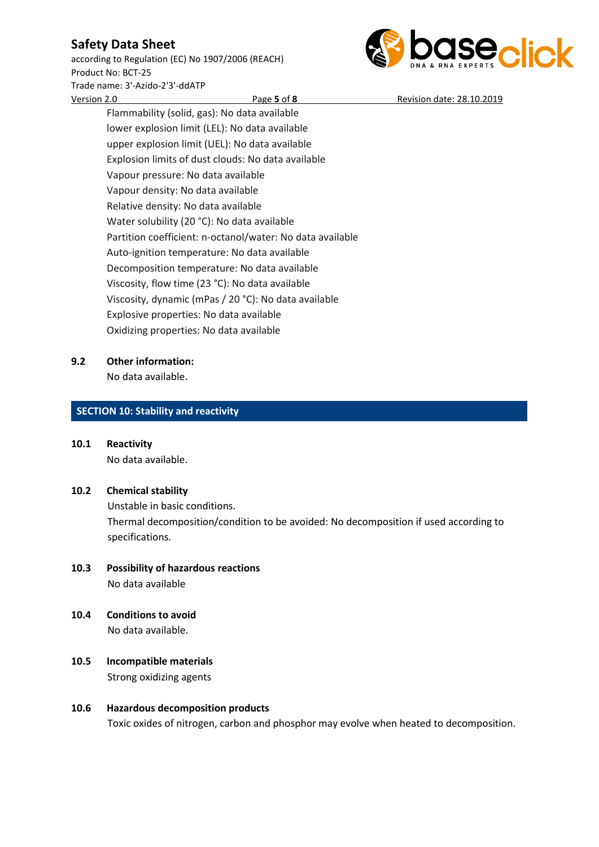according to Regulation (EC) No 1907/2006 (REACH) Product No: BCT-25 Trade name: 3'-Azido-2'3'-ddATP



Version 2.0 Page **5** of **8** Revision date: 28.10.2019 Flammability (solid, gas): No data available lower explosion limit (LEL): No data available upper explosion limit (UEL): No data available Explosion limits of dust clouds: No data available Vapour pressure: No data available Vapour density: No data available Relative density: No data available Water solubility (20 °C): No data available Partition coefficient: n-octanol/water: No data available Auto-ignition temperature: No data available Decomposition temperature: No data available Viscosity, flow time (23 °C): No data available Viscosity, dynamic (mPas / 20 °C): No data available Explosive properties: No data available Oxidizing properties: No data available

### **9.2 Other information:**

No data available.

### **SECTION 10: Stability and reactivity**

**10.1 Reactivity** No data available.

### **10.2 Chemical stability**

Unstable in basic conditions. Thermal decomposition/condition to be avoided: No decomposition if used according to specifications.

- **10.3 Possibility of hazardous reactions** No data available
- **10.4 Conditions to avoid** No data available.
- **10.5 Incompatible materials** Strong oxidizing agents

### **10.6 Hazardous decomposition products** Toxic oxides of nitrogen, carbon and phosphor may evolve when heated to decomposition.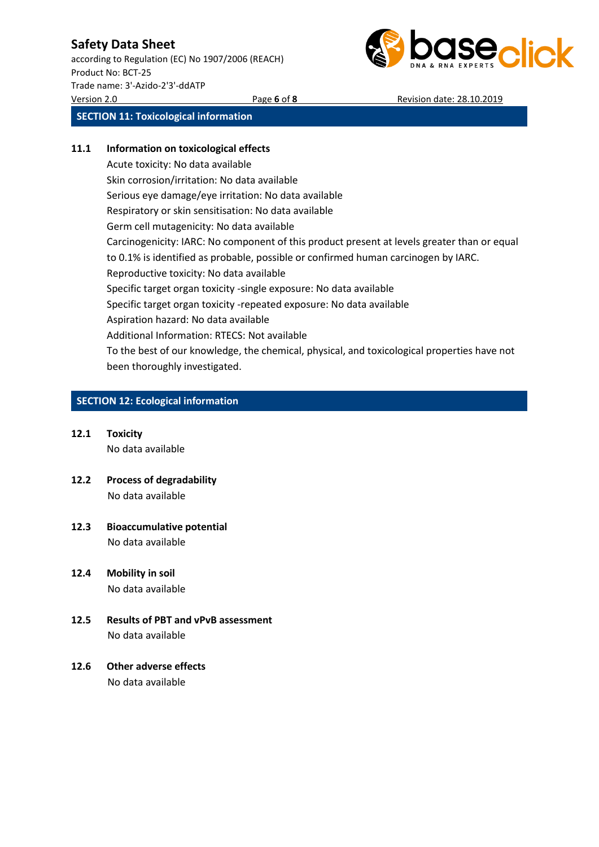according to Regulation (EC) No 1907/2006 (REACH) Product No: BCT-25 Trade name: 3'-Azido-2'3'-ddATP Version 2.0 Page **6** of **8** Revision date: 28.10.2019



**SECTION 11: Toxicological information**

### **11.1 Information on toxicological effects**

Acute toxicity: No data available Skin corrosion/irritation: No data available Serious eye damage/eye irritation: No data available Respiratory or skin sensitisation: No data available Germ cell mutagenicity: No data available Carcinogenicity: IARC: No component of this product present at levels greater than or equal to 0.1% is identified as probable, possible or confirmed human carcinogen by IARC. Reproductive toxicity: No data available Specific target organ toxicity -single exposure: No data available Specific target organ toxicity -repeated exposure: No data available Aspiration hazard: No data available Additional Information: RTECS: Not available To the best of our knowledge, the chemical, physical, and toxicological properties have not been thoroughly investigated.

### **SECTION 12: Ecological information**

- **12.1 Toxicity** No data available
- **12.2 Process of degradability** No data available
- **12.3 Bioaccumulative potential** No data available
- **12.4 Mobility in soil** No data available
- **12.5 Results of PBT and vPvB assessment** No data available

### **12.6 Other adverse effects** No data available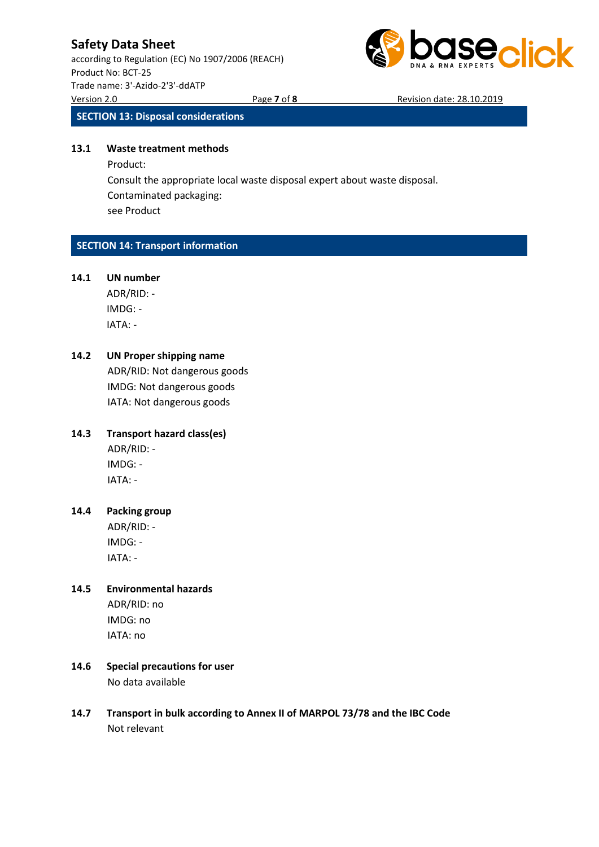according to Regulation (EC) No 1907/2006 (REACH) Product No: BCT-25 Trade name: 3'-Azido-2'3'-ddATP Version 2.0 Page **7** of **8** Revision date: 28.10.2019



**SECTION 13: Disposal considerations**

#### **13.1 Waste treatment methods**

Product: Consult the appropriate local waste disposal expert about waste disposal. Contaminated packaging: see Product

### **SECTION 14: Transport information**

#### **14.1 UN number**

ADR/RID: - IMDG: - IATA: -

### **14.2 UN Proper shipping name**

ADR/RID: Not dangerous goods IMDG: Not dangerous goods IATA: Not dangerous goods

### **14.3 Transport hazard class(es)**

ADR/RID: - IMDG: - IATA: -

### **14.4 Packing group** ADR/RID: -

IMDG: - IATA: -

# **14.5 Environmental hazards**

ADR/RID: no IMDG: no IATA: no

- **14.6 Special precautions for user** No data available
- **14.7 Transport in bulk according to Annex II of MARPOL 73/78 and the IBC Code** Not relevant